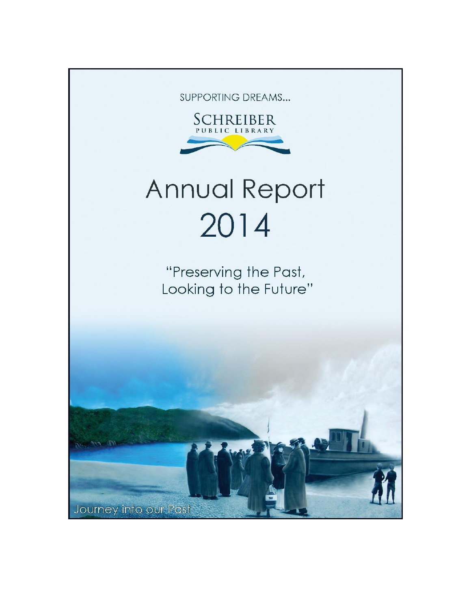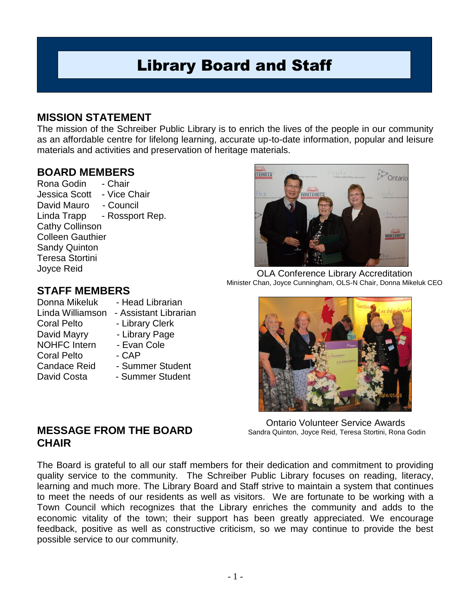# Library Board and Staff

## **MISSION STATEMENT**

The mission of the Schreiber Public Library is to enrich the lives of the people in our community as an affordable centre for lifelong learning, accurate up-to-date information, popular and leisure materials and activities and preservation of heritage materials.

## **BOARD MEMBERS**

Rona Godin - Chair Jessica Scott - Vice Chair David Mauro - Council Linda Trapp - Rossport Rep. Cathy Collinson Colleen Gauthier Sandy Quinton Teresa Stortini Joyce Reid

## **STAFF MEMBERS**

Donna Mikeluk - Head Librarian Linda Williamson - Assistant Librarian Coral Pelto - Library Clerk David Mayry - Library Page NOHFC Intern - Evan Cole Coral Pelto - CAP Candace Reid - Summer Student David Costa - Summer Student

OLA Conference Library Accreditation Minister Chan, Joyce Cunningham, OLS-N Chair, Donna Mikeluk CEO

Ontario Volunteer Service Awards Sandra Quinton, Joyce Reid, Teresa Stortini, Rona Godin

## **MESSAGE FROM THE BOARD CHAIR**

The Board is grateful to all our staff members for their dedication and commitment to providing quality service to the community. The Schreiber Public Library focuses on reading, literacy, learning and much more. The Library Board and Staff strive to maintain a system that continues to meet the needs of our residents as well as visitors. We are fortunate to be working with a Town Council which recognizes that the Library enriches the community and adds to the economic vitality of the town; their support has been greatly appreciated. We encourage feedback, positive as well as constructive criticism, so we may continue to provide the best possible service to our community.



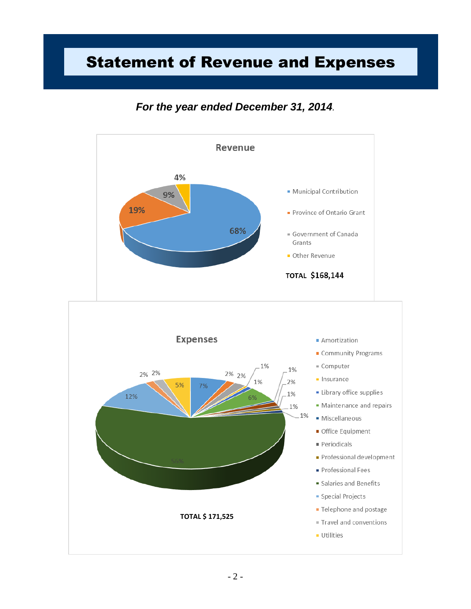# Statement of Revenue and Expenses

## *For the year ended December 31, 2014.*

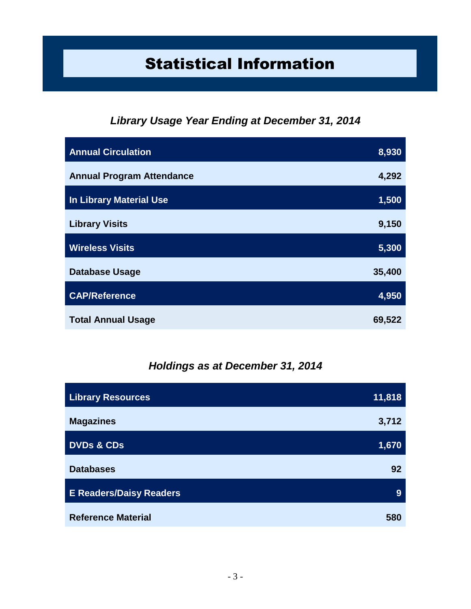# Statistical Information

## *Library Usage Year Ending at December 31, 2014*

| <b>Annual Circulation</b>        | 8,930  |
|----------------------------------|--------|
| <b>Annual Program Attendance</b> | 4,292  |
| <b>In Library Material Use</b>   | 1,500  |
| <b>Library Visits</b>            | 9,150  |
| <b>Wireless Visits</b>           | 5,300  |
| <b>Database Usage</b>            | 35,400 |
| <b>CAP/Reference</b>             | 4,950  |
| <b>Total Annual Usage</b>        | 69,522 |

## *Holdings as at December 31, 2014*

| <b>Library Resources</b>       | 11,818 |
|--------------------------------|--------|
| <b>Magazines</b>               | 3,712  |
| <b>DVDs &amp; CDs</b>          | 1,670  |
| <b>Databases</b>               | 92     |
| <b>E Readers/Daisy Readers</b> | 9      |
| <b>Reference Material</b>      | 580    |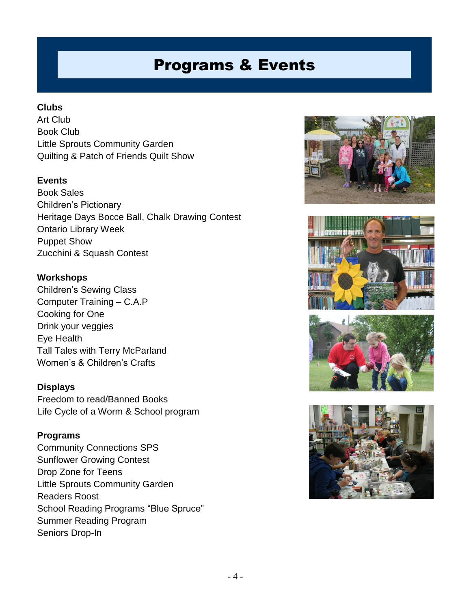# Programs & Events

### **Clubs**

Art Club Book Club Little Sprouts Community Garden Quilting & Patch of Friends Quilt Show

## **Events**

Book Sales Children's Pictionary Heritage Days Bocce Ball, Chalk Drawing Contest Ontario Library Week Puppet Show Zucchini & Squash Contest

#### **Workshops**

Children's Sewing Class Computer Training – C.A.P Cooking for One Drink your veggies Eye Health Tall Tales with Terry McParland Women's & Children's Crafts

#### **Displays**

Freedom to read/Banned Books Life Cycle of a Worm & School program

#### **Programs**

Community Connections SPS Sunflower Growing Contest Drop Zone for Teens Little Sprouts Community Garden Readers Roost School Reading Programs "Blue Spruce" Summer Reading Program Seniors Drop-In